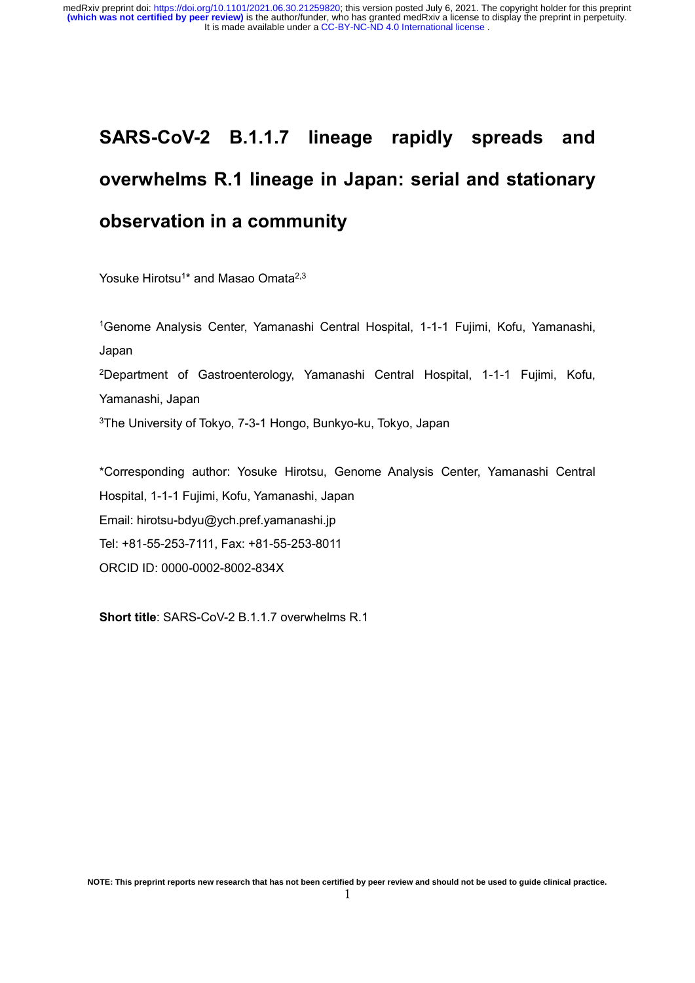# **SARS-CoV-2 B.1.1.7 lineage rapidly spreads and overwhelms R.1 lineage in Japan: serial and stationary observation in a community**

Yosuke Hirotsu<sup>1\*</sup> and Masao Omata<sup>2,3</sup>

<sup>1</sup>Genome Analysis Center, Yamanashi Central Hospital, 1-1-1 Fujimi, Kofu, Yamanashi, Japan <sup>2</sup>Department of Gastroenterology, Yamanashi Central Hospital, 1-1-1 Fujimi, Kofu, Yamanashi, Japan <sup>3</sup>The University of Tokyo, 7-3-1 Hongo, Bunkyo-ku, Tokyo, Japan

\*Corresponding author: Yosuke Hirotsu, Genome Analysis Center, Yamanashi Central Hospital, 1-1-1 Fujimi, Kofu, Yamanashi, Japan Email: hirotsu-bdyu@ych.pref.yamanashi.jp Tel: +81-55-253-7111, Fax: +81-55-253-8011 ORCID ID: 0000-0002-8002-834X

**Short title**: SARS-CoV-2 B.1.1.7 overwhelms R.1

**NOTE: This preprint reports new research that has not been certified by peer review and should not be used to guide clinical practice.**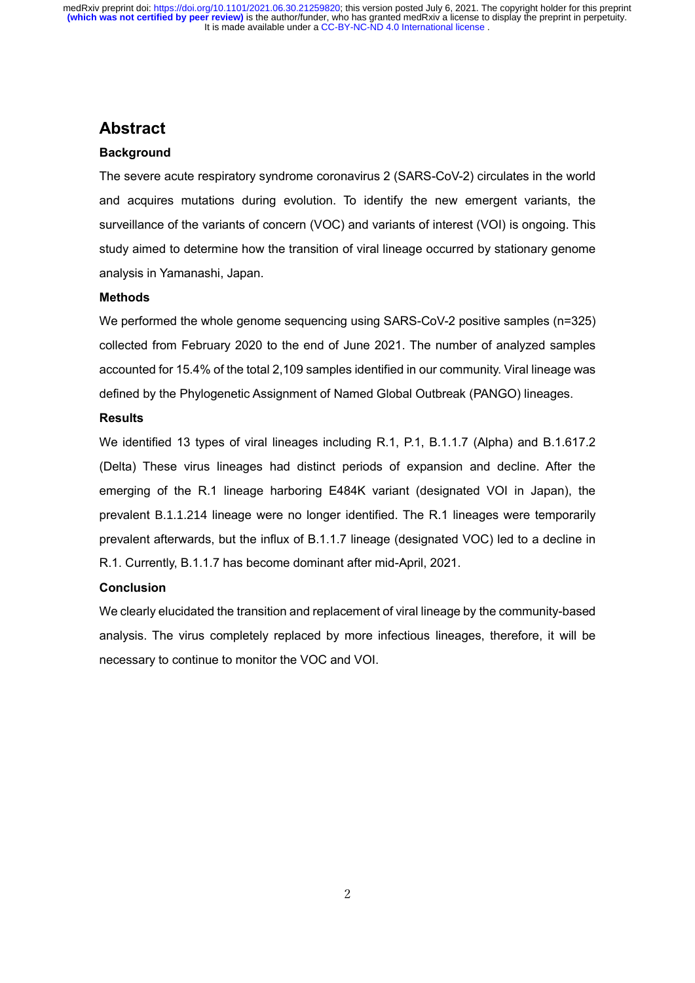# **Abstract**

# **Background**

The severe acute respiratory syndrome coronavirus 2 (SARS-CoV-2) circulates in the world and acquires mutations during evolution. To identify the new emergent variants, the surveillance of the variants of concern (VOC) and variants of interest (VOI) is ongoing. This study aimed to determine how the transition of viral lineage occurred by stationary genome analysis in Yamanashi, Japan.

## **Methods**

We performed the whole genome sequencing using SARS-CoV-2 positive samples (n=325) collected from February 2020 to the end of June 2021. The number of analyzed samples accounted for 15.4% of the total 2,109 samples identified in our community. Viral lineage was defined by the Phylogenetic Assignment of Named Global Outbreak (PANGO) lineages.

# **Results**

We identified 13 types of viral lineages including R.1, P.1, B.1.1.7 (Alpha) and B.1.617.2 (Delta) These virus lineages had distinct periods of expansion and decline. After the emerging of the R.1 lineage harboring E484K variant (designated VOI in Japan), the prevalent B.1.1.214 lineage were no longer identified. The R.1 lineages were temporarily prevalent afterwards, but the influx of B.1.1.7 lineage (designated VOC) led to a decline in R.1. Currently, B.1.1.7 has become dominant after mid-April, 2021.

# **Conclusion**

We clearly elucidated the transition and replacement of viral lineage by the community-based analysis. The virus completely replaced by more infectious lineages, therefore, it will be necessary to continue to monitor the VOC and VOI.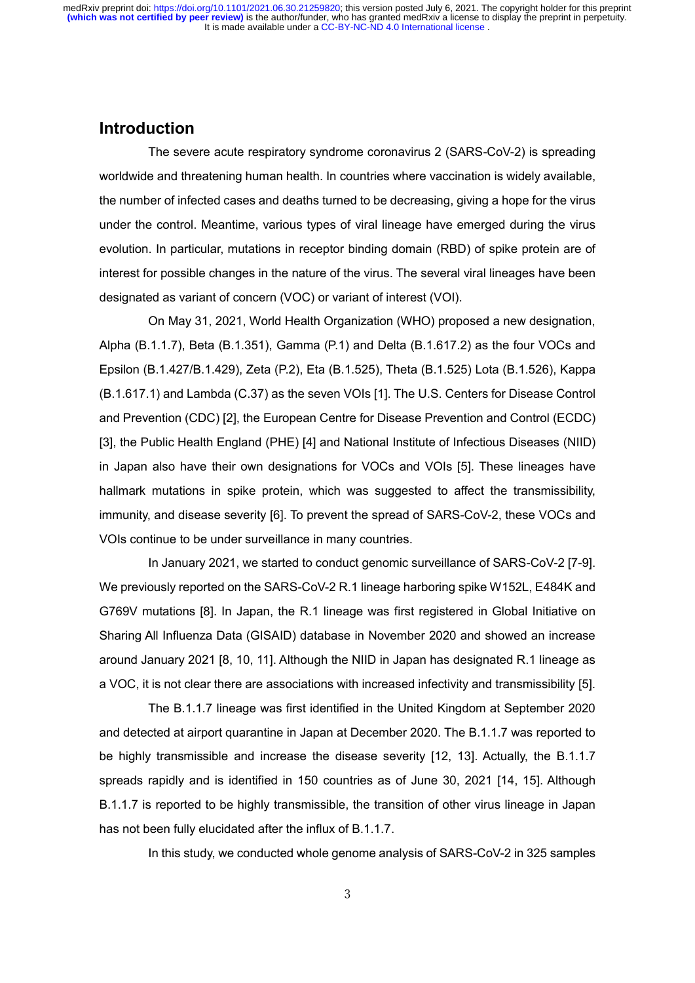# **Introduction**

The severe acute respiratory syndrome coronavirus 2 (SARS-CoV-2) is spreading worldwide and threatening human health. In countries where vaccination is widely available, the number of infected cases and deaths turned to be decreasing, giving a hope for the virus under the control. Meantime, various types of viral lineage have emerged during the virus evolution. In particular, mutations in receptor binding domain (RBD) of spike protein are of interest for possible changes in the nature of the virus. The several viral lineages have been designated as variant of concern (VOC) or variant of interest (VOI).

On May 31, 2021, World Health Organization (WHO) proposed a new designation, Alpha (B.1.1.7), Beta (B.1.351), Gamma (P.1) and Delta (B.1.617.2) as the four VOCs and Epsilon (B.1.427/B.1.429), Zeta (P.2), Eta (B.1.525), Theta (B.1.525) Lota (B.1.526), Kappa (B.1.617.1) and Lambda (C.37) as the seven VOIs [1]. The U.S. Centers for Disease Control and Prevention (CDC) [2], the European Centre for Disease Prevention and Control (ECDC) [3], the Public Health England (PHE) [4] and National Institute of Infectious Diseases (NIID) in Japan also have their own designations for VOCs and VOIs [5]. These lineages have hallmark mutations in spike protein, which was suggested to affect the transmissibility, immunity, and disease severity [6]. To prevent the spread of SARS-CoV-2, these VOCs and VOIs continue to be under surveillance in many countries.

In January 2021, we started to conduct genomic surveillance of SARS-CoV-2 [7-9]. We previously reported on the SARS-CoV-2 R.1 lineage harboring spike W152L, E484K and G769V mutations [8]. In Japan, the R.1 lineage was first registered in Global Initiative on Sharing All Influenza Data (GISAID) database in November 2020 and showed an increase around January 2021 [8, 10, 11]. Although the NIID in Japan has designated R.1 lineage as a VOC, it is not clear there are associations with increased infectivity and transmissibility [5].

The B.1.1.7 lineage was first identified in the United Kingdom at September 2020 and detected at airport quarantine in Japan at December 2020. The B.1.1.7 was reported to be highly transmissible and increase the disease severity [12, 13]. Actually, the B.1.1.7 spreads rapidly and is identified in 150 countries as of June 30, 2021 [14, 15]. Although B.1.1.7 is reported to be highly transmissible, the transition of other virus lineage in Japan has not been fully elucidated after the influx of B.1.1.7.

In this study, we conducted whole genome analysis of SARS-CoV-2 in 325 samples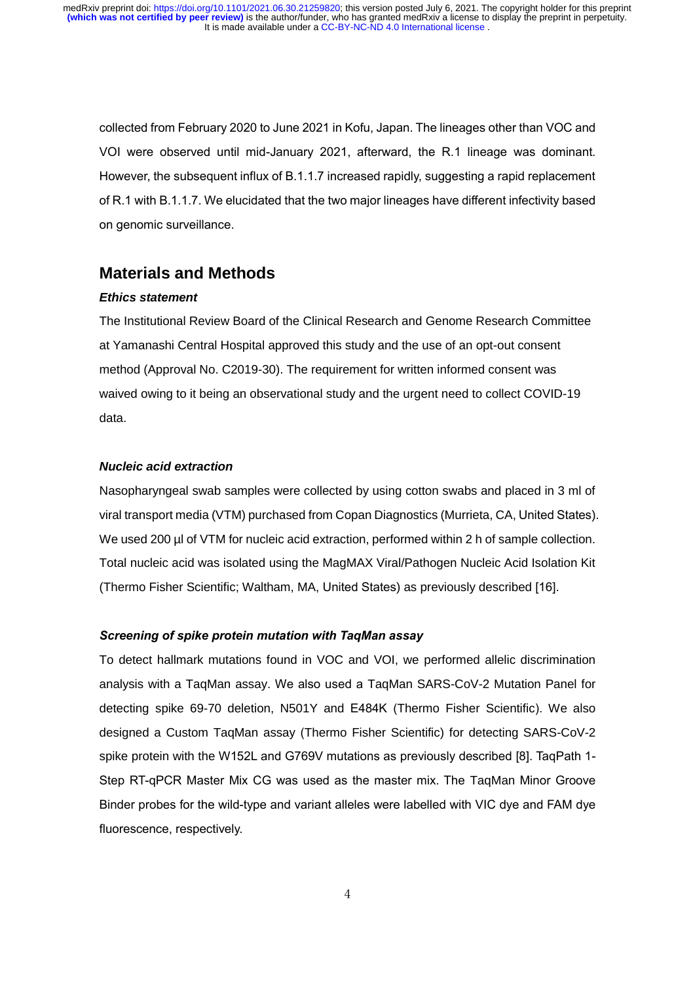collected from February 2020 to June 2021 in Kofu, Japan. The lineages other than VOC and VOI were observed until mid-January 2021, afterward, the R.1 lineage was dominant. However, the subsequent influx of B.1.1.7 increased rapidly, suggesting a rapid replacement of R.1 with B.1.1.7. We elucidated that the two major lineages have different infectivity based on genomic surveillance.

# **Materials and Methods**

#### *Ethics statement*

The Institutional Review Board of the Clinical Research and Genome Research Committee at Yamanashi Central Hospital approved this study and the use of an opt-out consent method (Approval No. C2019-30). The requirement for written informed consent was waived owing to it being an observational study and the urgent need to collect COVID-19 data.

## *Nucleic acid extraction*

Nasopharyngeal swab samples were collected by using cotton swabs and placed in 3 ml of viral transport media (VTM) purchased from Copan Diagnostics (Murrieta, CA, United States). We used 200 µl of VTM for nucleic acid extraction, performed within 2 h of sample collection. Total nucleic acid was isolated using the MagMAX Viral/Pathogen Nucleic Acid Isolation Kit (Thermo Fisher Scientific; Waltham, MA, United States) as previously described [16].

#### *Screening of spike protein mutation with TaqMan assay*

To detect hallmark mutations found in VOC and VOI, we performed allelic discrimination analysis with a TaqMan assay. We also used a TaqMan SARS-CoV-2 Mutation Panel for detecting spike 69-70 deletion, N501Y and E484K (Thermo Fisher Scientific). We also designed a Custom TaqMan assay (Thermo Fisher Scientific) for detecting SARS-CoV-2 spike protein with the W152L and G769V mutations as previously described [8]. TaqPath 1- Step RT-qPCR Master Mix CG was used as the master mix. The TaqMan Minor Groove Binder probes for the wild-type and variant alleles were labelled with VIC dye and FAM dye fluorescence, respectively.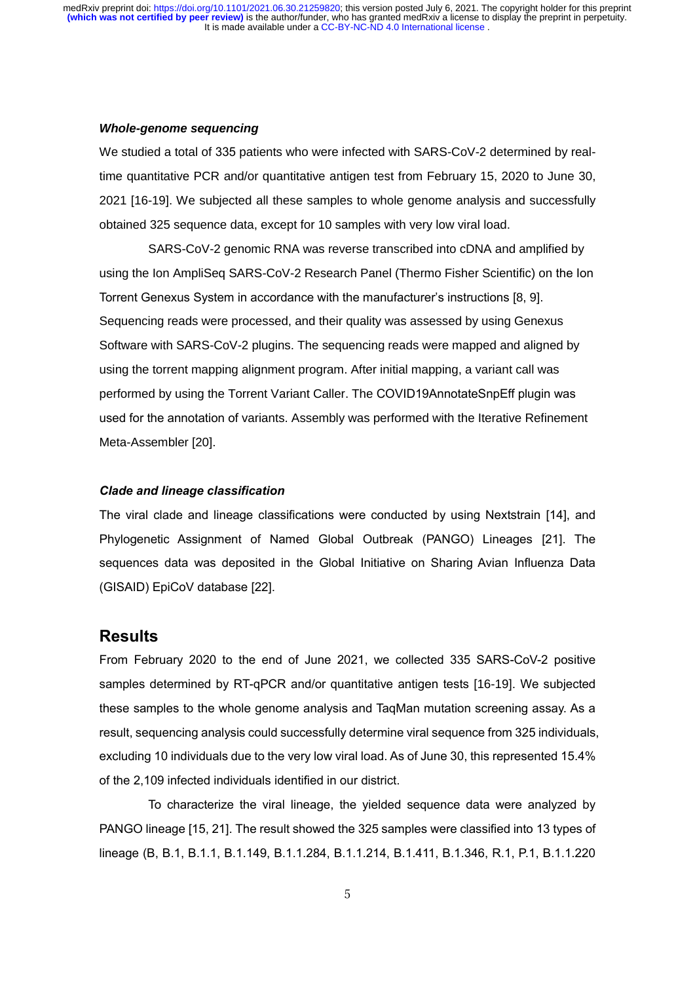#### *Whole-genome sequencing*

We studied a total of 335 patients who were infected with SARS-CoV-2 determined by realtime quantitative PCR and/or quantitative antigen test from February 15, 2020 to June 30, 2021 [16-19]. We subjected all these samples to whole genome analysis and successfully obtained 325 sequence data, except for 10 samples with very low viral load.

SARS-CoV-2 genomic RNA was reverse transcribed into cDNA and amplified by using the Ion AmpliSeq SARS-CoV-2 Research Panel (Thermo Fisher Scientific) on the Ion Torrent Genexus System in accordance with the manufacturer's instructions [8, 9]. Sequencing reads were processed, and their quality was assessed by using Genexus Software with SARS-CoV-2 plugins. The sequencing reads were mapped and aligned by using the torrent mapping alignment program. After initial mapping, a variant call was performed by using the Torrent Variant Caller. The COVID19AnnotateSnpEff plugin was used for the annotation of variants. Assembly was performed with the Iterative Refinement Meta-Assembler [20].

#### *Clade and lineage classification*

The viral clade and lineage classifications were conducted by using Nextstrain [14], and Phylogenetic Assignment of Named Global Outbreak (PANGO) Lineages [21]. The sequences data was deposited in the Global Initiative on Sharing Avian Influenza Data (GISAID) EpiCoV database [22].

# **Results**

From February 2020 to the end of June 2021, we collected 335 SARS-CoV-2 positive samples determined by RT-qPCR and/or quantitative antigen tests [16-19]. We subjected these samples to the whole genome analysis and TaqMan mutation screening assay. As a result, sequencing analysis could successfully determine viral sequence from 325 individuals, excluding 10 individuals due to the very low viral load. As of June 30, this represented 15.4% of the 2,109 infected individuals identified in our district.

To characterize the viral lineage, the yielded sequence data were analyzed by PANGO lineage [15, 21]. The result showed the 325 samples were classified into 13 types of lineage (B, B.1, B.1.1, B.1.149, B.1.1.284, B.1.1.214, B.1.411, B.1.346, R.1, P.1, B.1.1.220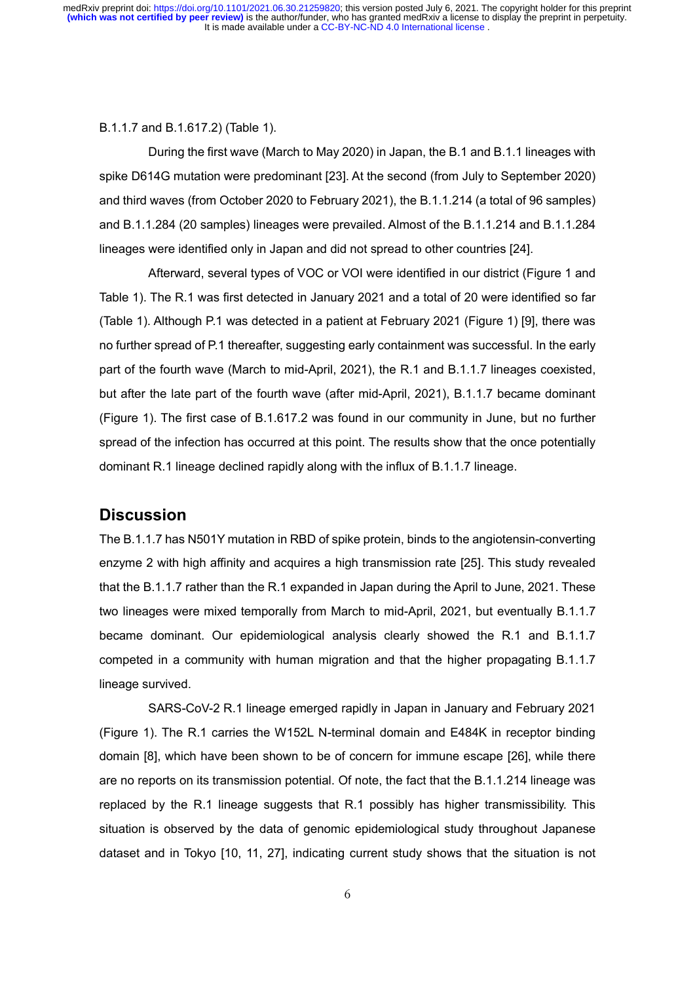#### B.1.1.7 and B.1.617.2) (Table 1).

During the first wave (March to May 2020) in Japan, the B.1 and B.1.1 lineages with spike D614G mutation were predominant [23]. At the second (from July to September 2020) and third waves (from October 2020 to February 2021), the B.1.1.214 (a total of 96 samples) and B.1.1.284 (20 samples) lineages were prevailed. Almost of the B.1.1.214 and B.1.1.284 lineages were identified only in Japan and did not spread to other countries [24].

Afterward, several types of VOC or VOI were identified in our district (Figure 1 and Table 1). The R.1 was first detected in January 2021 and a total of 20 were identified so far (Table 1). Although P.1 was detected in a patient at February 2021 (Figure 1) [9], there was no further spread of P.1 thereafter, suggesting early containment was successful. In the early part of the fourth wave (March to mid-April, 2021), the R.1 and B.1.1.7 lineages coexisted, but after the late part of the fourth wave (after mid-April, 2021), B.1.1.7 became dominant (Figure 1). The first case of B.1.617.2 was found in our community in June, but no further spread of the infection has occurred at this point. The results show that the once potentially dominant R.1 lineage declined rapidly along with the influx of B.1.1.7 lineage.

# **Discussion**

The B.1.1.7 has N501Y mutation in RBD of spike protein, binds to the angiotensin-converting enzyme 2 with high affinity and acquires a high transmission rate [25]. This study revealed that the B.1.1.7 rather than the R.1 expanded in Japan during the April to June, 2021. These two lineages were mixed temporally from March to mid-April, 2021, but eventually B.1.1.7 became dominant. Our epidemiological analysis clearly showed the R.1 and B.1.1.7 competed in a community with human migration and that the higher propagating B.1.1.7 lineage survived.

SARS-CoV-2 R.1 lineage emerged rapidly in Japan in January and February 2021 (Figure 1). The R.1 carries the W152L N-terminal domain and E484K in receptor binding domain [8], which have been shown to be of concern for immune escape [26], while there are no reports on its transmission potential. Of note, the fact that the B.1.1.214 lineage was replaced by the R.1 lineage suggests that R.1 possibly has higher transmissibility. This situation is observed by the data of genomic epidemiological study throughout Japanese dataset and in Tokyo [10, 11, 27], indicating current study shows that the situation is not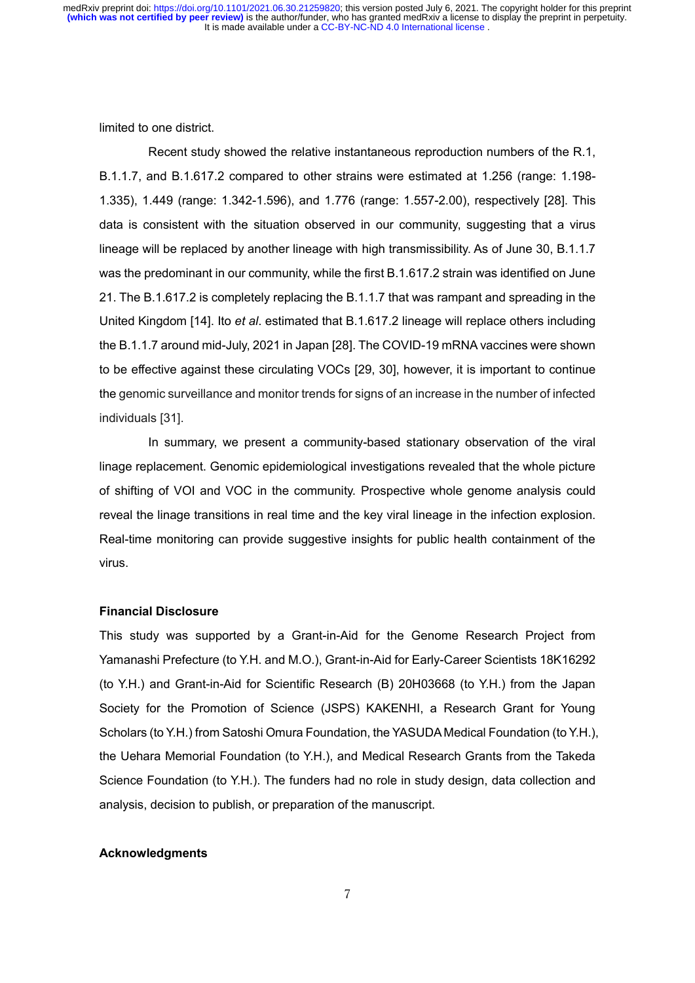limited to one district.

Recent study showed the relative instantaneous reproduction numbers of the R.1, B.1.1.7, and B.1.617.2 compared to other strains were estimated at 1.256 (range: 1.198- 1.335), 1.449 (range: 1.342-1.596), and 1.776 (range: 1.557-2.00), respectively [28]. This data is consistent with the situation observed in our community, suggesting that a virus lineage will be replaced by another lineage with high transmissibility. As of June 30, B.1.1.7 was the predominant in our community, while the first B.1.617.2 strain was identified on June 21. The B.1.617.2 is completely replacing the B.1.1.7 that was rampant and spreading in the United Kingdom [14]. Ito *et al*. estimated that B.1.617.2 lineage will replace others including the B.1.1.7 around mid-July, 2021 in Japan [28]. The COVID-19 mRNA vaccines were shown to be effective against these circulating VOCs [29, 30], however, it is important to continue the genomic surveillance and monitor trends for signs of an increase in the number of infected individuals [31].

In summary, we present a community-based stationary observation of the viral linage replacement. Genomic epidemiological investigations revealed that the whole picture of shifting of VOI and VOC in the community. Prospective whole genome analysis could reveal the linage transitions in real time and the key viral lineage in the infection explosion. Real-time monitoring can provide suggestive insights for public health containment of the virus.

## **Financial Disclosure**

This study was supported by a Grant-in-Aid for the Genome Research Project from Yamanashi Prefecture (to Y.H. and M.O.), Grant-in-Aid for Early-Career Scientists 18K16292 (to Y.H.) and Grant-in-Aid for Scientific Research (B) 20H03668 (to Y.H.) from the Japan Society for the Promotion of Science (JSPS) KAKENHI, a Research Grant for Young Scholars (to Y.H.) from Satoshi Omura Foundation, the YASUDA Medical Foundation (to Y.H.), the Uehara Memorial Foundation (to Y.H.), and Medical Research Grants from the Takeda Science Foundation (to Y.H.). The funders had no role in study design, data collection and analysis, decision to publish, or preparation of the manuscript.

## **Acknowledgments**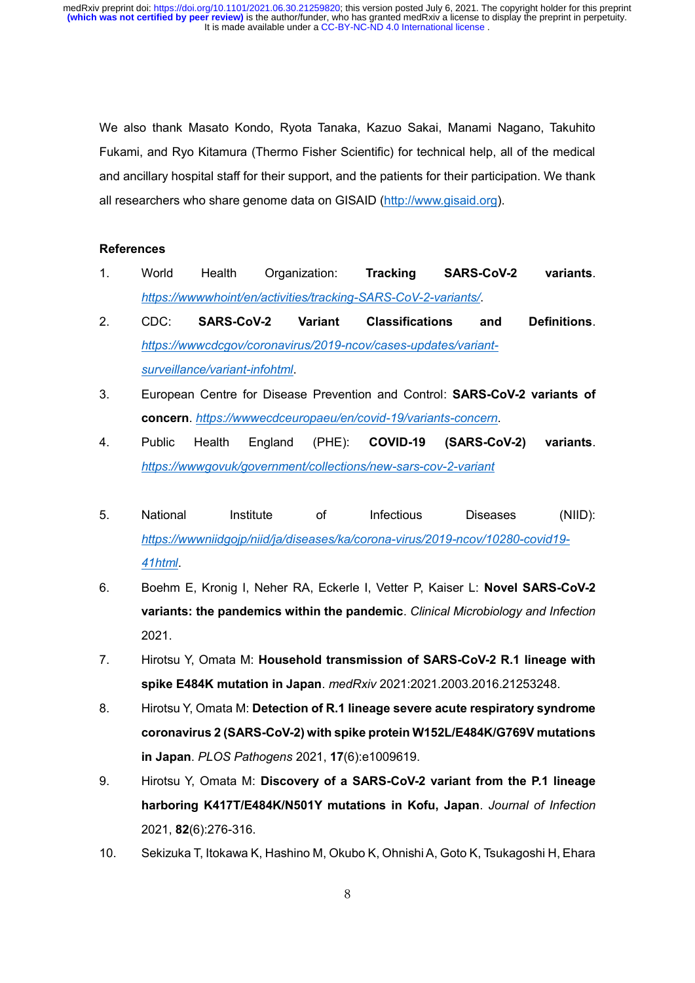We also thank Masato Kondo, Ryota Tanaka, Kazuo Sakai, Manami Nagano, Takuhito Fukami, and Ryo Kitamura (Thermo Fisher Scientific) for technical help, all of the medical and ancillary hospital staff for their support, and the patients for their participation. We thank all researchers who share genome data on GISAID [\(http://www.gisaid.org\)](http://www.gisaid.org/).

## **References**

- 1. World Health Organization: **Tracking SARS-CoV-2 variants**. *<https://wwwwhoint/en/activities/tracking-SARS-CoV-2-variants/>*.
- 2. CDC: **SARS-CoV-2 Variant Classifications and Definitions**. *[https://wwwcdcgov/coronavirus/2019-ncov/cases-updates/variant](https://wwwcdcgov/coronavirus/2019-ncov/cases-updates/variant-surveillance/variant-infohtml)[surveillance/variant-infohtml](https://wwwcdcgov/coronavirus/2019-ncov/cases-updates/variant-surveillance/variant-infohtml)*.
- 3. European Centre for Disease Prevention and Control: **SARS-CoV-2 variants of concern**. *<https://wwwecdceuropaeu/en/covid-19/variants-concern>*.
- 4. Public Health England (PHE): **COVID-19 (SARS-CoV-2) variants**. *<https://wwwgovuk/government/collections/new-sars-cov-2-variant>*
- 5. National Institute of Infectious Diseases (NIID): *[https://wwwniidgojp/niid/ja/diseases/ka/corona-virus/2019-ncov/10280-covid19-](https://wwwniidgojp/niid/ja/diseases/ka/corona-virus/2019-ncov/10280-covid19-41html) [41html](https://wwwniidgojp/niid/ja/diseases/ka/corona-virus/2019-ncov/10280-covid19-41html)*.
- 6. Boehm E, Kronig I, Neher RA, Eckerle I, Vetter P, Kaiser L: **Novel SARS-CoV-2 variants: the pandemics within the pandemic**. *Clinical Microbiology and Infection*  2021.
- 7. Hirotsu Y, Omata M: **Household transmission of SARS-CoV-2 R.1 lineage with spike E484K mutation in Japan**. *medRxiv* 2021:2021.2003.2016.21253248.
- 8. Hirotsu Y, Omata M: **Detection of R.1 lineage severe acute respiratory syndrome coronavirus 2 (SARS-CoV-2) with spike protein W152L/E484K/G769V mutations in Japan**. *PLOS Pathogens* 2021, **17**(6):e1009619.
- 9. Hirotsu Y, Omata M: **Discovery of a SARS-CoV-2 variant from the P.1 lineage harboring K417T/E484K/N501Y mutations in Kofu, Japan**. *Journal of Infection*  2021, **82**(6):276-316.
- 10. Sekizuka T, Itokawa K, Hashino M, Okubo K, Ohnishi A, Goto K, Tsukagoshi H, Ehara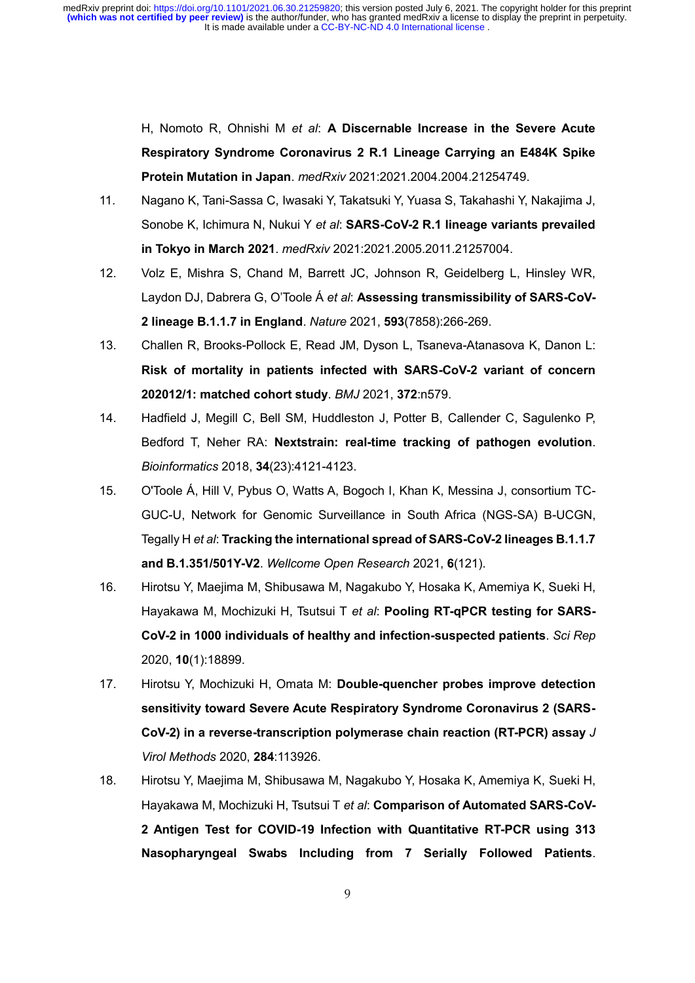> H, Nomoto R, Ohnishi M *et al*: **A Discernable Increase in the Severe Acute Respiratory Syndrome Coronavirus 2 R.1 Lineage Carrying an E484K Spike Protein Mutation in Japan**. *medRxiv* 2021:2021.2004.2004.21254749.

- 11. Nagano K, Tani-Sassa C, Iwasaki Y, Takatsuki Y, Yuasa S, Takahashi Y, Nakajima J, Sonobe K, Ichimura N, Nukui Y *et al*: **SARS-CoV-2 R.1 lineage variants prevailed in Tokyo in March 2021**. *medRxiv* 2021:2021.2005.2011.21257004.
- 12. Volz E, Mishra S, Chand M, Barrett JC, Johnson R, Geidelberg L, Hinsley WR, Laydon DJ, Dabrera G, O'Toole Á *et al*: **Assessing transmissibility of SARS-CoV-2 lineage B.1.1.7 in England**. *Nature* 2021, **593**(7858):266-269.
- 13. Challen R, Brooks-Pollock E, Read JM, Dyson L, Tsaneva-Atanasova K, Danon L: **Risk of mortality in patients infected with SARS-CoV-2 variant of concern 202012/1: matched cohort study**. *BMJ* 2021, **372**:n579.
- 14. Hadfield J, Megill C, Bell SM, Huddleston J, Potter B, Callender C, Sagulenko P, Bedford T, Neher RA: **Nextstrain: real-time tracking of pathogen evolution**. *Bioinformatics* 2018, **34**(23):4121-4123.
- 15. O'Toole Á, Hill V, Pybus O, Watts A, Bogoch I, Khan K, Messina J, consortium TC-GUC-U, Network for Genomic Surveillance in South Africa (NGS-SA) B-UCGN, Tegally H *et al*: **Tracking the international spread of SARS-CoV-2 lineages B.1.1.7 and B.1.351/501Y-V2**. *Wellcome Open Research* 2021, **6**(121).
- 16. Hirotsu Y, Maejima M, Shibusawa M, Nagakubo Y, Hosaka K, Amemiya K, Sueki H, Hayakawa M, Mochizuki H, Tsutsui T *et al*: **Pooling RT-qPCR testing for SARS-CoV-2 in 1000 individuals of healthy and infection-suspected patients**. *Sci Rep*  2020, **10**(1):18899.
- 17. Hirotsu Y, Mochizuki H, Omata M: **Double-quencher probes improve detection sensitivity toward Severe Acute Respiratory Syndrome Coronavirus 2 (SARS-CoV-2) in a reverse-transcription polymerase chain reaction (RT-PCR) assay** *J Virol Methods* 2020, **284**:113926.
- 18. Hirotsu Y, Maejima M, Shibusawa M, Nagakubo Y, Hosaka K, Amemiya K, Sueki H, Hayakawa M, Mochizuki H, Tsutsui T *et al*: **Comparison of Automated SARS-CoV-2 Antigen Test for COVID-19 Infection with Quantitative RT-PCR using 313 Nasopharyngeal Swabs Including from 7 Serially Followed Patients**.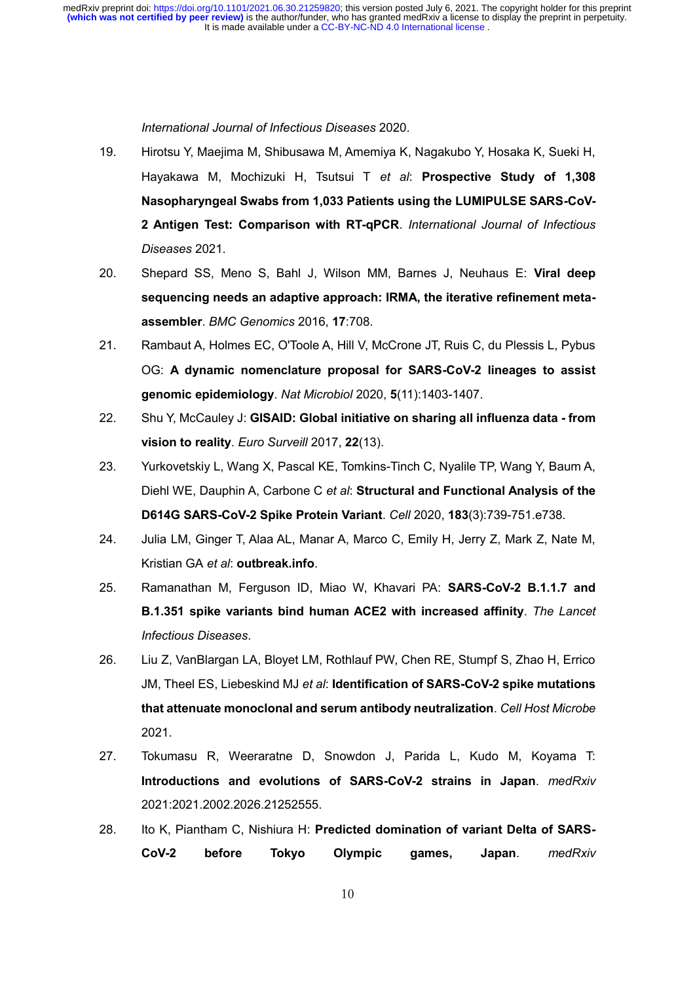#### *International Journal of Infectious Diseases* 2020.

- 19. Hirotsu Y, Maejima M, Shibusawa M, Amemiya K, Nagakubo Y, Hosaka K, Sueki H, Hayakawa M, Mochizuki H, Tsutsui T *et al*: **Prospective Study of 1,308 Nasopharyngeal Swabs from 1,033 Patients using the LUMIPULSE SARS-CoV-2 Antigen Test: Comparison with RT-qPCR**. *International Journal of Infectious Diseases* 2021.
- 20. Shepard SS, Meno S, Bahl J, Wilson MM, Barnes J, Neuhaus E: **Viral deep sequencing needs an adaptive approach: IRMA, the iterative refinement metaassembler**. *BMC Genomics* 2016, **17**:708.
- 21. Rambaut A, Holmes EC, O'Toole A, Hill V, McCrone JT, Ruis C, du Plessis L, Pybus OG: **A dynamic nomenclature proposal for SARS-CoV-2 lineages to assist genomic epidemiology**. *Nat Microbiol* 2020, **5**(11):1403-1407.
- 22. Shu Y, McCauley J: **GISAID: Global initiative on sharing all influenza data - from vision to reality**. *Euro Surveill* 2017, **22**(13).
- 23. Yurkovetskiy L, Wang X, Pascal KE, Tomkins-Tinch C, Nyalile TP, Wang Y, Baum A, Diehl WE, Dauphin A, Carbone C *et al*: **Structural and Functional Analysis of the D614G SARS-CoV-2 Spike Protein Variant**. *Cell* 2020, **183**(3):739-751.e738.
- 24. Julia LM, Ginger T, Alaa AL, Manar A, Marco C, Emily H, Jerry Z, Mark Z, Nate M, Kristian GA *et al*: **outbreak.info**.
- 25. Ramanathan M, Ferguson ID, Miao W, Khavari PA: **SARS-CoV-2 B.1.1.7 and B.1.351 spike variants bind human ACE2 with increased affinity**. *The Lancet Infectious Diseases*.
- 26. Liu Z, VanBlargan LA, Bloyet LM, Rothlauf PW, Chen RE, Stumpf S, Zhao H, Errico JM, Theel ES, Liebeskind MJ *et al*: **Identification of SARS-CoV-2 spike mutations that attenuate monoclonal and serum antibody neutralization**. *Cell Host Microbe*  2021.
- 27. Tokumasu R, Weeraratne D, Snowdon J, Parida L, Kudo M, Koyama T: **Introductions and evolutions of SARS-CoV-2 strains in Japan**. *medRxiv*  2021:2021.2002.2026.21252555.
- 28. Ito K, Piantham C, Nishiura H: **Predicted domination of variant Delta of SARS-CoV-2 before Tokyo Olympic games, Japan**. *medRxiv*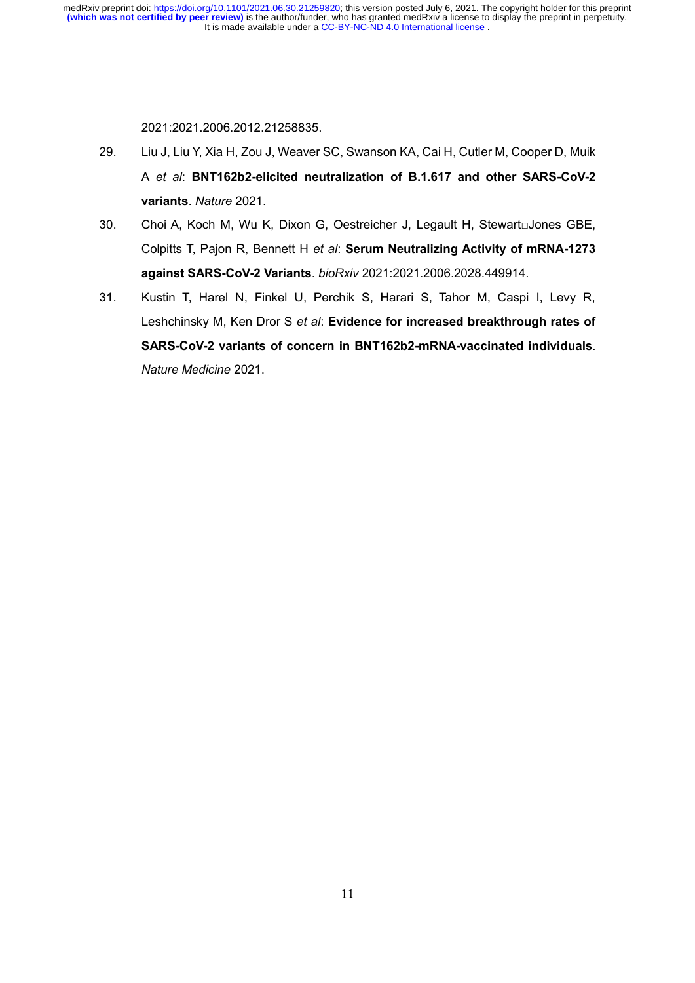2021:2021.2006.2012.21258835.

- 29. Liu J, Liu Y, Xia H, Zou J, Weaver SC, Swanson KA, Cai H, Cutler M, Cooper D, Muik A *et al*: **BNT162b2-elicited neutralization of B.1.617 and other SARS-CoV-2 variants**. *Nature* 2021.
- 30. Choi A, Koch M, Wu K, Dixon G, Oestreicher J, Legault H, Stewart□Jones GBE, Colpitts T, Pajon R, Bennett H *et al*: **Serum Neutralizing Activity of mRNA-1273 against SARS-CoV-2 Variants**. *bioRxiv* 2021:2021.2006.2028.449914.
- 31. Kustin T, Harel N, Finkel U, Perchik S, Harari S, Tahor M, Caspi I, Levy R, Leshchinsky M, Ken Dror S *et al*: **Evidence for increased breakthrough rates of SARS-CoV-2 variants of concern in BNT162b2-mRNA-vaccinated individuals**. *Nature Medicine* 2021.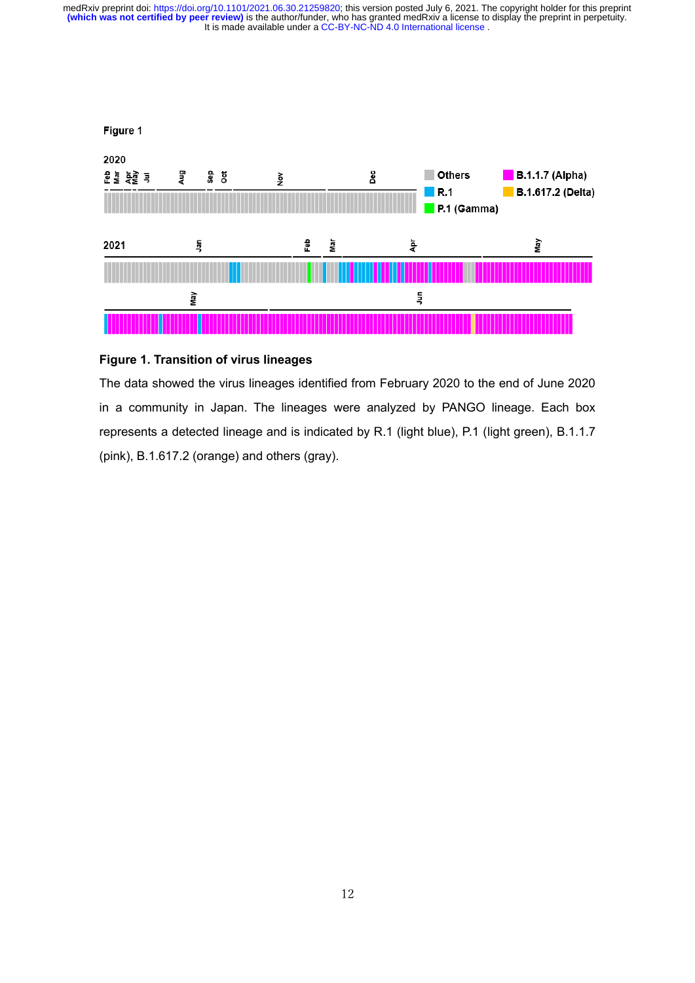

#### **Figure 1. Transition of virus lineages**

The data showed the virus lineages identified from February 2020 to the end of June 2020 in a community in Japan. The lineages were analyzed by PANGO lineage. Each box represents a detected lineage and is indicated by R.1 (light blue), P.1 (light green), B.1.1.7 (pink), B.1.617.2 (orange) and others (gray).